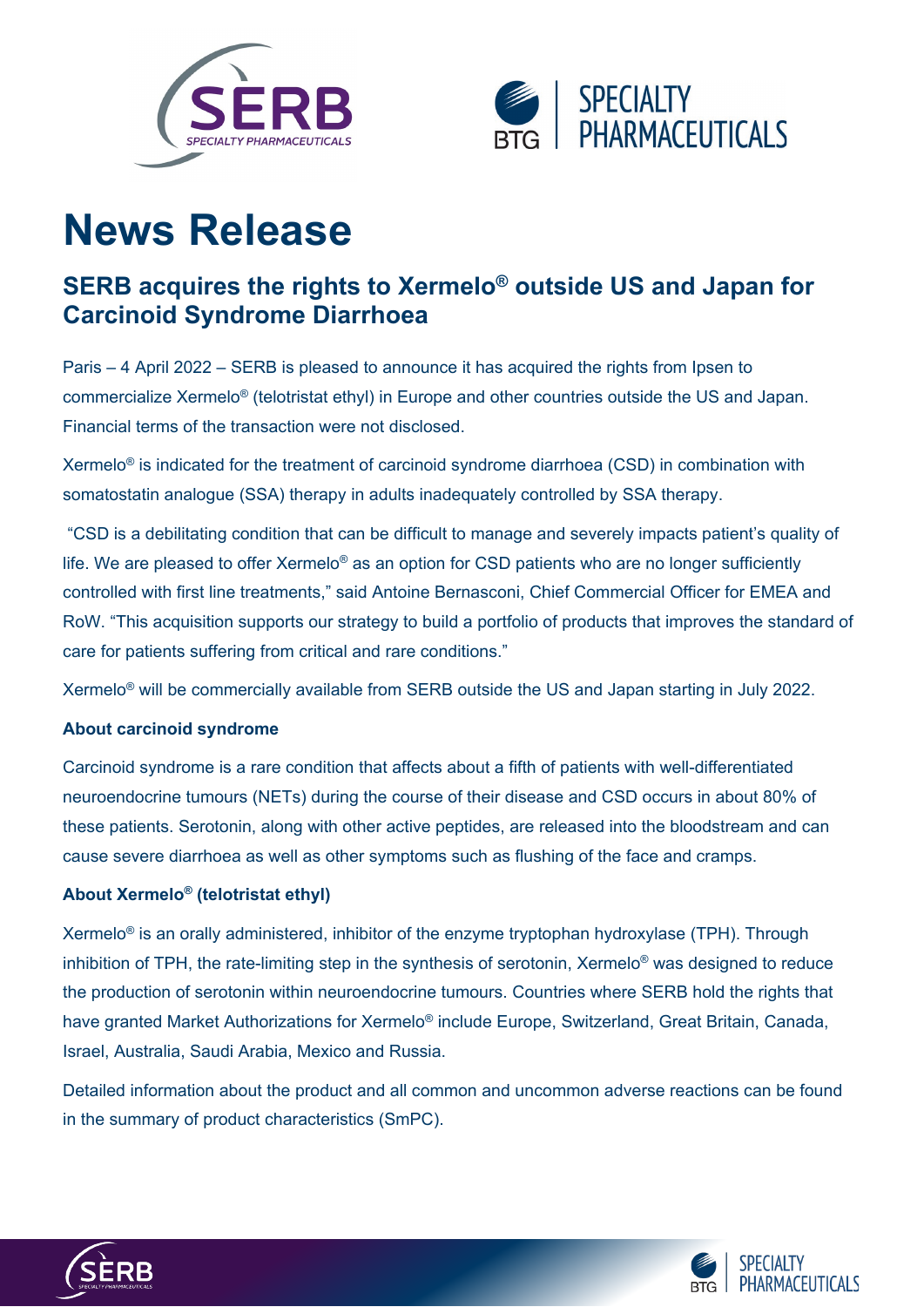



# **News Release**

## **SERB acquires the rights to Xermelo® outside US and Japan for Carcinoid Syndrome Diarrhoea**

Paris – 4 April 2022 – SERB is pleased to announce it has acquired the rights from Ipsen to commercialize Xermelo® (telotristat ethyl) in Europe and other countries outside the US and Japan. Financial terms of the transaction were not disclosed.

Xermelo® is indicated for the treatment of carcinoid syndrome diarrhoea (CSD) in combination with somatostatin analogue (SSA) therapy in adults inadequately controlled by SSA therapy.

"CSD is a debilitating condition that can be difficult to manage and severely impacts patient's quality of life. We are pleased to offer Xermelo<sup>®</sup> as an option for CSD patients who are no longer sufficiently controlled with first line treatments," said Antoine Bernasconi, Chief Commercial Officer for EMEA and RoW. "This acquisition supports our strategy to build a portfolio of products that improves the standard of care for patients suffering from critical and rare conditions."

Xermelo® will be commercially available from SERB outside the US and Japan starting in July 2022.

### **About carcinoid syndrome**

Carcinoid syndrome is a rare condition that affects about a fifth of patients with well-differentiated neuroendocrine tumours (NETs) during the course of their disease and CSD occurs in about 80% of these patients. Serotonin, along with other active peptides, are released into the bloodstream and can cause severe diarrhoea as well as other symptoms such as flushing of the face and cramps.

### **About Xermelo® (telotristat ethyl)**

Xermelo<sup>®</sup> is an orally administered, inhibitor of the enzyme tryptophan hydroxylase (TPH). Through inhibition of TPH, the rate-limiting step in the synthesis of serotonin, Xermelo® was designed to reduce the production of serotonin within neuroendocrine tumours. Countries where SERB hold the rights that have granted Market Authorizations for Xermelo<sup>®</sup> include Europe, Switzerland, Great Britain, Canada, Israel, Australia, Saudi Arabia, Mexico and Russia.

Detailed information about the product and all common and uncommon adverse reactions can be found in the [summary of product characteristics \(SmPC\).](https://www.ema.europa.eu/en/documents/product-information/xermelo-epar-product-information_en.pdf)